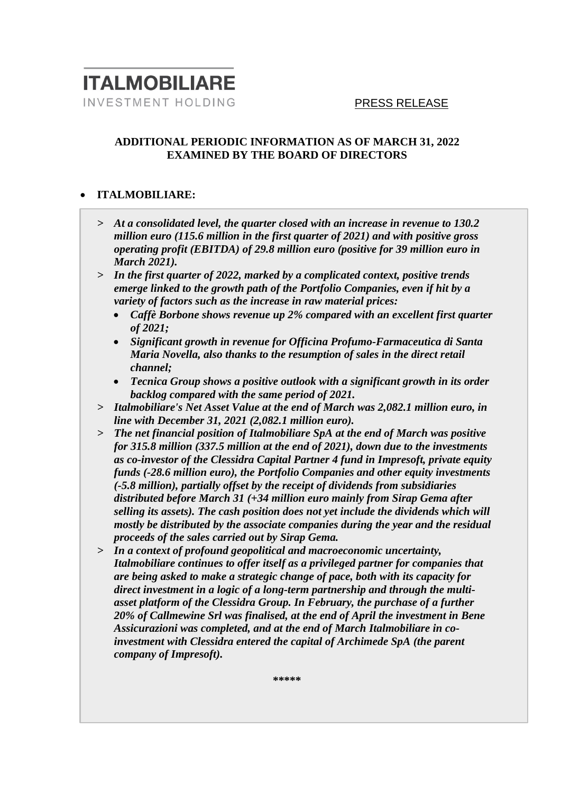### **ADDITIONAL PERIODIC INFORMATION AS OF MARCH 31, 2022 EXAMINED BY THE BOARD OF DIRECTORS**

### • **ITALMOBILIARE:**

- *> At a consolidated level, the quarter closed with an increase in revenue to 130.2 million euro (115.6 million in the first quarter of 2021) and with positive gross operating profit (EBITDA) of 29.8 million euro (positive for 39 million euro in March 2021).*
- *> In the first quarter of 2022, marked by a complicated context, positive trends emerge linked to the growth path of the Portfolio Companies, even if hit by a variety of factors such as the increase in raw material prices:* 
	- *Caffè Borbone shows revenue up 2% compared with an excellent first quarter of 2021;*
	- *Significant growth in revenue for Officina Profumo-Farmaceutica di Santa Maria Novella, also thanks to the resumption of sales in the direct retail channel;*
	- *Tecnica Group shows a positive outlook with a significant growth in its order backlog compared with the same period of 2021.*
- *> Italmobiliare's Net Asset Value at the end of March was 2,082.1 million euro, in line with December 31, 2021 (2,082.1 million euro).*
- *> The net financial position of Italmobiliare SpA at the end of March was positive for 315.8 million (337.5 million at the end of 2021), down due to the investments as co-investor of the Clessidra Capital Partner 4 fund in Impresoft, private equity funds (-28.6 million euro), the Portfolio Companies and other equity investments (-5.8 million), partially offset by the receipt of dividends from subsidiaries distributed before March 31 (+34 million euro mainly from Sirap Gema after selling its assets). The cash position does not yet include the dividends which will mostly be distributed by the associate companies during the year and the residual proceeds of the sales carried out by Sirap Gema.*
- *> In a context of profound geopolitical and macroeconomic uncertainty, Italmobiliare continues to offer itself as a privileged partner for companies that are being asked to make a strategic change of pace, both with its capacity for direct investment in a logic of a long-term partnership and through the multiasset platform of the Clessidra Group. In February, the purchase of a further 20% of Callmewine Srl was finalised, at the end of April the investment in Bene Assicurazioni was completed, and at the end of March Italmobiliare in coinvestment with Clessidra entered the capital of Archimede SpA (the parent company of Impresoft).*

**\*\*\*\*\***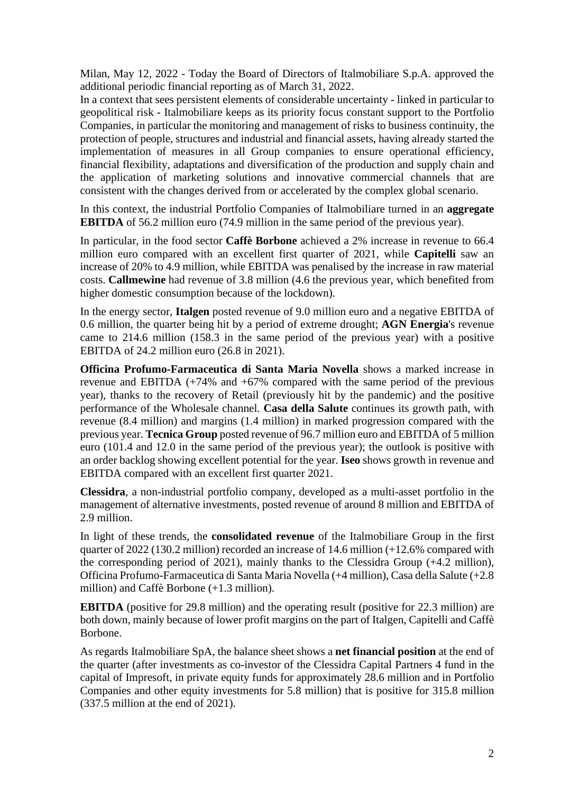Milan, May 12, 2022 - Today the Board of Directors of Italmobiliare S.p.A. approved the additional periodic financial reporting as of March 31, 2022.

In a context that sees persistent elements of considerable uncertainty - linked in particular to geopolitical risk - Italmobiliare keeps as its priority focus constant support to the Portfolio Companies, in particular the monitoring and management of risks to business continuity, the protection of people, structures and industrial and financial assets, having already started the implementation of measures in all Group companies to ensure operational efficiency, financial flexibility, adaptations and diversification of the production and supply chain and the application of marketing solutions and innovative commercial channels that are consistent with the changes derived from or accelerated by the complex global scenario.

In this context, the industrial Portfolio Companies of Italmobiliare turned in an **aggregate EBITDA** of 56.2 million euro (74.9 million in the same period of the previous year).

In particular, in the food sector **Caffè Borbone** achieved a 2% increase in revenue to 66.4 million euro compared with an excellent first quarter of 2021, while **Capitelli** saw an increase of 20% to 4.9 million, while EBITDA was penalised by the increase in raw material costs. **Callmewine** had revenue of 3.8 million (4.6 the previous year, which benefited from higher domestic consumption because of the lockdown).

In the energy sector, **Italgen** posted revenue of 9.0 million euro and a negative EBITDA of 0.6 million, the quarter being hit by a period of extreme drought; **AGN Energia**'s revenue came to 214.6 million (158.3 in the same period of the previous year) with a positive EBITDA of 24.2 million euro (26.8 in 2021).

**Officina Profumo-Farmaceutica di Santa Maria Novella** shows a marked increase in revenue and EBITDA (+74% and +67% compared with the same period of the previous year), thanks to the recovery of Retail (previously hit by the pandemic) and the positive performance of the Wholesale channel*.* **Casa della Salute** continues its growth path, with revenue (8.4 million) and margins (1.4 million) in marked progression compared with the previous year. **Tecnica Group** posted revenue of 96.7 million euro and EBITDA of 5 million euro (101.4 and 12.0 in the same period of the previous year); the outlook is positive with an order backlog showing excellent potential for the year. **Iseo** shows growth in revenue and EBITDA compared with an excellent first quarter 2021.

**Clessidra**, a non-industrial portfolio company, developed as a multi-asset portfolio in the management of alternative investments, posted revenue of around 8 million and EBITDA of 2.9 million.

In light of these trends, the **consolidated revenue** of the Italmobiliare Group in the first quarter of 2022 (130.2 million) recorded an increase of 14.6 million (+12.6% compared with the corresponding period of 2021), mainly thanks to the Clessidra Group (+4.2 million), Officina Profumo-Farmaceutica di Santa Maria Novella (+4 million), Casa della Salute (+2.8 million) and Caffè Borbone (+1.3 million).

**EBITDA** (positive for 29.8 million) and the operating result (positive for 22.3 million) are both down, mainly because of lower profit margins on the part of Italgen, Capitelli and Caffè Borbone.

As regards Italmobiliare SpA, the balance sheet shows a **net financial position** at the end of the quarter (after investments as co-investor of the Clessidra Capital Partners 4 fund in the capital of Impresoft, in private equity funds for approximately 28.6 million and in Portfolio Companies and other equity investments for 5.8 million) that is positive for 315.8 million (337.5 million at the end of 2021).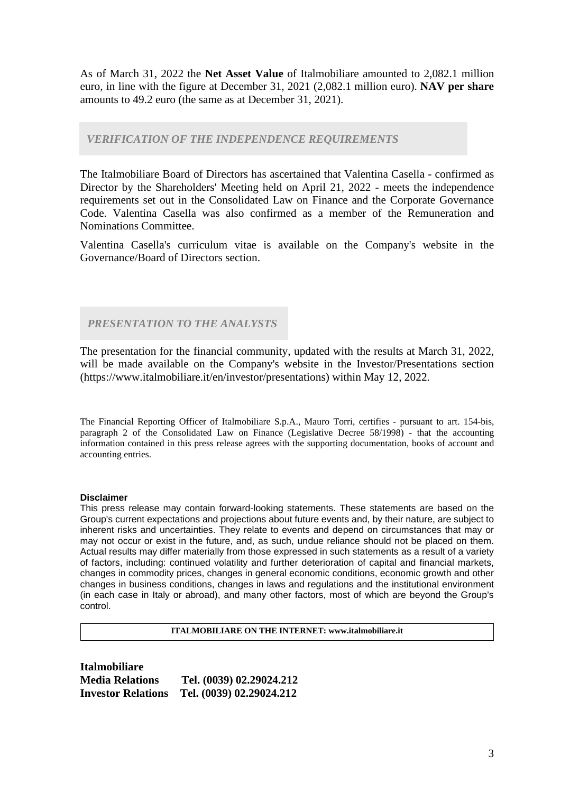As of March 31, 2022 the **Net Asset Value** of Italmobiliare amounted to 2,082.1 million euro, in line with the figure at December 31, 2021 (2,082.1 million euro). **NAV per share** amounts to 49.2 euro (the same as at December 31, 2021).

#### *VERIFICATION OF THE INDEPENDENCE REQUIREMENTS*

The Italmobiliare Board of Directors has ascertained that Valentina Casella - confirmed as Director by the Shareholders' Meeting held on April 21, 2022 - meets the independence requirements set out in the Consolidated Law on Finance and the Corporate Governance Code. Valentina Casella was also confirmed as a member of the Remuneration and Nominations Committee.

Valentina Casella's curriculum vitae is available on the Company's website in the Governance/Board of Directors section.

*PRESENTATION TO THE ANALYSTS*

The presentation for the financial community, updated with the results at March 31, 2022, will be made available on the Company's website in the Investor/Presentations section (https://www.italmobiliare.it/en/investor/presentations) within May 12, 2022.

The Financial Reporting Officer of Italmobiliare S.p.A., Mauro Torri, certifies - pursuant to art. 154-bis, paragraph 2 of the Consolidated Law on Finance (Legislative Decree 58/1998) - that the accounting information contained in this press release agrees with the supporting documentation, books of account and accounting entries.

#### **Disclaimer**

This press release may contain forward-looking statements. These statements are based on the Group's current expectations and projections about future events and, by their nature, are subject to inherent risks and uncertainties. They relate to events and depend on circumstances that may or may not occur or exist in the future, and, as such, undue reliance should not be placed on them. Actual results may differ materially from those expressed in such statements as a result of a variety of factors, including: continued volatility and further deterioration of capital and financial markets, changes in commodity prices, changes in general economic conditions, economic growth and other changes in business conditions, changes in laws and regulations and the institutional environment (in each case in Italy or abroad), and many other factors, most of which are beyond the Group's control.

**ITALMOBILIARE ON THE INTERNET: www.italmobiliare.it**

| <b>Italmobiliare</b>      |                          |
|---------------------------|--------------------------|
| <b>Media Relations</b>    | Tel. (0039) 02.29024.212 |
| <b>Investor Relations</b> | Tel. (0039) 02.29024.212 |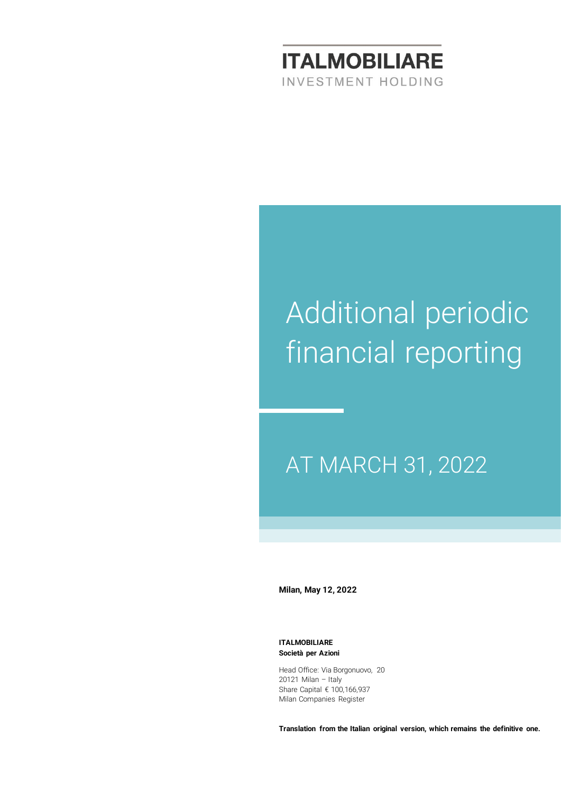

# Additional periodic financial reporting

# AT MARCH 31, 2022

**Milan, May 12, 2022**

**ITALMOBILIARE Società per Azioni**

Head Office: Via Borgonuovo, 20 20121 Milan – Italy Share Capital € 100,166,937 Milan Companies Register

**Translation from the Italian original version, which remains the definitive one.**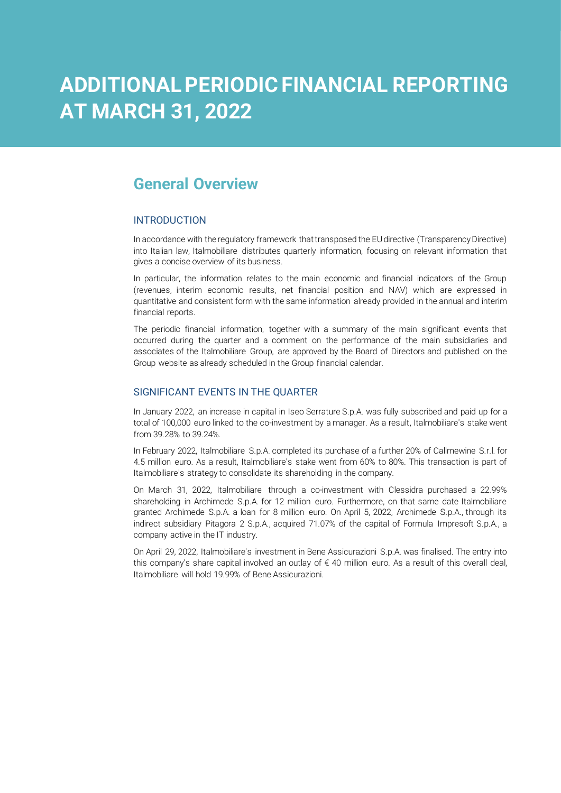# **ADDITIONAL PERIODIC FINANCIAL REPORTING AT MARCH 31, 2022**

## **General Overview**

#### INTRODUCTION

In accordance with the regulatory framework that transposed the EU directive (Transparency Directive) into Italian law, Italmobiliare distributes quarterly information, focusing on relevant information that gives a concise overview of its business.

In particular, the information relates to the main economic and financial indicators of the Group (revenues, interim economic results, net financial position and NAV) which are expressed in quantitative and consistent form with the same information already provided in the annual and interim financial reports.

The periodic financial information, together with a summary of the main significant events that occurred during the quarter and a comment on the performance of the main subsidiaries and associates of the Italmobiliare Group, are approved by the Board of Directors and published on the Group website as already scheduled in the Group financial calendar.

#### SIGNIFICANT EVENTS IN THE QUARTER

In January 2022, an increase in capital in Iseo Serrature S.p.A. was fully subscribed and paid up for a total of 100,000 euro linked to the co-investment by a manager. As a result, Italmobiliare's stake went from 39.28% to 39.24%.

In February 2022, Italmobiliare S.p.A. completed its purchase of a further 20% of Callmewine S.r.l. for 4.5 million euro. As a result, Italmobiliare's stake went from 60% to 80%. This transaction is part of Italmobiliare's strategy to consolidate its shareholding in the company.

On March 31, 2022, Italmobiliare through a co-investment with Clessidra purchased a 22.99% shareholding in Archimede S.p.A. for 12 million euro. Furthermore, on that same date Italmobiliare granted Archimede S.p.A. a loan for 8 million euro. On April 5, 2022, Archimede S.p.A., through its indirect subsidiary Pitagora 2 S.p.A., acquired 71.07% of the capital of Formula Impresoft S.p.A., a company active in the IT industry.

On April 29, 2022, Italmobiliare's investment in Bene Assicurazioni S.p.A. was finalised. The entry into this company's share capital involved an outlay of € 40 million euro. As a result of this overall deal, Italmobiliare will hold 19.99% of Bene Assicurazioni.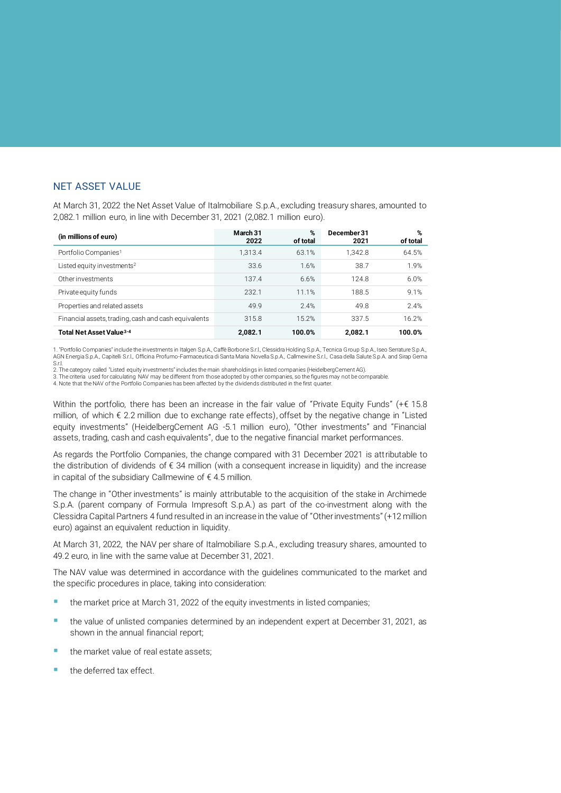#### NET ASSET VALUE

At March 31, 2022 the Net Asset Value of Italmobiliare S.p.A., excluding treasury shares, amounted to 2,082.1 million euro, in line with December 31, 2021 (2,082.1 million euro).

| (in millions of euro)                                | March 31<br>2022 | %<br>of total | December 31<br>2021 | %<br>of total |
|------------------------------------------------------|------------------|---------------|---------------------|---------------|
| Portfolio Companies <sup>1</sup>                     | 1.313.4          | 63.1%         | 1.342.8             | 64.5%         |
| Listed equity investments <sup>2</sup>               | 33.6             | 1.6%          | 38.7                | 1.9%          |
| Other investments                                    | 137.4            | 6.6%          | 124.8               | 6.0%          |
| Private equity funds                                 | 232.1            | 11.1%         | 188.5               | 9.1%          |
| Properties and related assets                        | 49.9             | 2.4%          | 49.8                | 2.4%          |
| Financial assets, trading, cash and cash equivalents | 315.8            | 15.2%         | 337.5               | 16.2%         |
| Total Net Asset Value <sup>3-4</sup>                 | 2,082.1          | 100.0%        | 2,082.1             | 100.0%        |

1. "Portfolio Companies" include the investments in Italgen S.p.A., Caffè Borbone S.r.l., Clessidra Holding S.p.A., Tecnica Group S.p.A., Iseo Serrature S.p.A., AGN Energia S.p.A., Capitelli S.r.l., Officina Profumo-Farmaceutica di Santa Maria Novella S.p.A., Callmewine S.r.l., Casa della Salute S.p.A. and Sirap Gema S.r.l.

2. The category called "Listed equity investments" includes the main shareholdings in listed companies (HeidelbergCement AG).

3. The criteria used for calculating NAV may be different from those adopted by other companies, so the figures may not be comparable.<br>4. Note that the NAV of the Portfolio Companies has been affected by the dividends dis

Within the portfolio, there has been an increase in the fair value of "Private Equity Funds" (+€ 15.8 million, of which € 2.2 million due to exchange rate effects), offset by the negative change in "Listed equity investments" (HeidelbergCement AG -5.1 million euro), "Other investments" and "Financial assets, trading, cash and cash equivalents", due to the negative financial market performances.

As regards the Portfolio Companies, the change compared with 31 December 2021 is attributable to the distribution of dividends of  $\epsilon$  34 million (with a consequent increase in liquidity) and the increase in capital of the subsidiary Callmewine of  $\epsilon$  4.5 million.

The change in "Other investments" is mainly attributable to the acquisition of the stake in Archimede S.p.A. (parent company of Formula Impresoft S.p.A.) as part of the co-investment along with the Clessidra Capital Partners 4 fund resulted in an increase in the value of "Other investments" (+12 million euro) against an equivalent reduction in liquidity.

At March 31, 2022, the NAV per share of Italmobiliare S.p.A., excluding treasury shares, amounted to 49.2 euro, in line with the same value at December 31, 2021.

The NAV value was determined in accordance with the guidelines communicated to the market and the specific procedures in place, taking into consideration:

- the market price at March 31, 2022 of the equity investments in listed companies;
- the value of unlisted companies determined by an independent expert at December 31, 2021, as shown in the annual financial report;
- the market value of real estate assets;
- the deferred tax effect.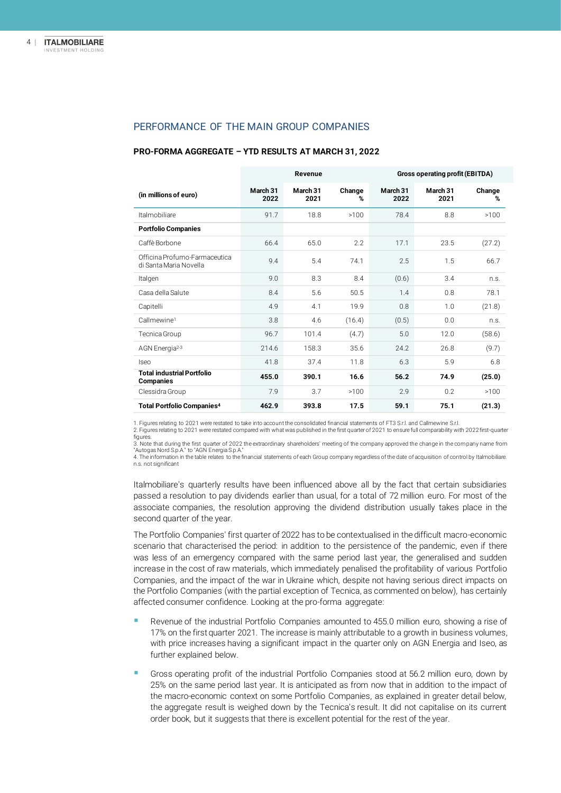#### PERFORMANCE OF THE MAIN GROUP COMPANIES

|                                                         | Revenue          |                  |             |                  | Gross operating profit (EBITDA) |             |
|---------------------------------------------------------|------------------|------------------|-------------|------------------|---------------------------------|-------------|
| (in millions of euro)                                   | March 31<br>2022 | March 31<br>2021 | Change<br>% | March 31<br>2022 | March 31<br>2021                | Change<br>% |
| <b>Italmobiliare</b>                                    | 91.7             | 18.8             | >100        | 78.4             | 8.8                             | >100        |
| <b>Portfolio Companies</b>                              |                  |                  |             |                  |                                 |             |
| Caffè Borbone                                           | 66.4             | 65.0             | 22          | 17.1             | 23.5                            | (27.2)      |
| Officina Profumo-Farmaceutica<br>di Santa Maria Novella | 9.4              | 5.4              | 74.1        | 2.5              | 1.5                             | 66.7        |
| Italgen                                                 | 9.0              | 8.3              | 8.4         | (0.6)            | 3.4                             | n.S.        |
| Casa della Salute                                       | 8.4              | 5.6              | 50.5        | 1.4              | 0.8                             | 78.1        |
| Capitelli                                               | 4.9              | 4.1              | 19.9        | 0.8              | 1.0                             | (21.8)      |
| Callmewine <sup>1</sup>                                 | 3.8              | 4.6              | (16.4)      | (0.5)            | 0.0                             | n.S.        |
| Tecnica Group                                           | 96.7             | 101.4            | (4.7)       | 5.0              | 12.0                            | (58.6)      |
| AGN Energia <sup>2-3</sup>                              | 214.6            | 158.3            | 35.6        | 24.2             | 26.8                            | (9.7)       |
| <b>Iseo</b>                                             | 41.8             | 37.4             | 11.8        | 6.3              | 5.9                             | 6.8         |
| <b>Total industrial Portfolio</b><br>Companies          | 455.0            | 390.1            | 16.6        | 56.2             | 74.9                            | (25.0)      |
| Clessidra Group                                         | 7.9              | 3.7              | >100        | 2.9              | 0.2                             | >100        |
| Total Portfolio Companies <sup>4</sup>                  | 462.9            | 393.8            | 17.5        | 59.1             | 75.1                            | (21.3)      |

#### **PRO-FORMA AGGREGATE – YTD RESULTS AT MARCH 31, 2022**

1. Figures relating to 2021 were restated to take into account the consolidated financial statements of FT3 S.r.l. and Callmewine S.r.l.

2. Figures relating to 2021 were restated compared with what was published in the first quarter of 2021 to ensure full comparability with 2022 first-quarter figures.

3. Note that during the first quarter of 2022 the extraordinary shareholders' meeting of the company approved the change in the company name from "Autogas Nord S.p.A." to "AGN Energia S.p.A."<br>4. The information in the table relates to the financial statements of each Group company regardless of the date of acquisition of control by Italmobiliare. n.s. not significant

Italmobiliare's quarterly results have been influenced above all by the fact that certain subsidiaries passed a resolution to pay dividends earlier than usual, for a total of 72 million euro. For most of the associate companies, the resolution approving the dividend distribution usually takes place in the second quarter of the year.

The Portfolio Companies' first quarter of 2022 has to be contextualised in the difficult macro-economic scenario that characterised the period: in addition to the persistence of the pandemic, even if there was less of an emergency compared with the same period last year, the generalised and sudden increase in the cost of raw materials, which immediately penalised the profitability of various Portfolio Companies, and the impact of the war in Ukraine which, despite not having serious direct impacts on the Portfolio Companies (with the partial exception of Tecnica, as commented on below), has certainly affected consumer confidence. Looking at the pro-forma aggregate:

- Revenue of the industrial Portfolio Companies amounted to 455.0 million euro, showing a rise of 17% on the first quarter 2021. The increase is mainly attributable to a growth in business volumes, with price increases having a significant impact in the quarter only on AGN Energia and Iseo, as further explained below.
- Gross operating profit of the industrial Portfolio Companies stood at 56.2 million euro, down by 25% on the same period last year. It is anticipated as from now that in addition to the impact of the macro-economic context on some Portfolio Companies, as explained in greater detail below, the aggregate result is weighed down by the Tecnica's result. It did not capitalise on its current order book, but it suggests that there is excellent potential for the rest of the year.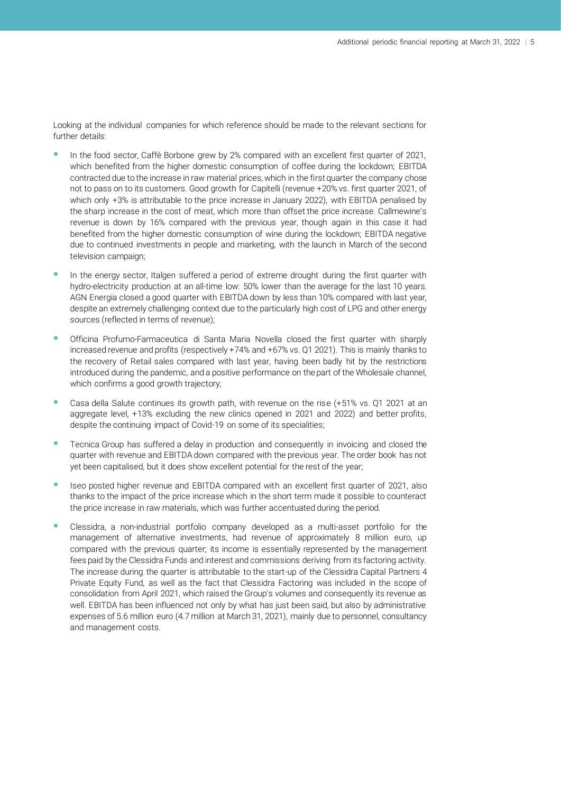Looking at the individual companies for which reference should be made to the relevant sections for further details:

- In the food sector, Caffè Borbone grew by 2% compared with an excellent first quarter of 2021, which benefited from the higher domestic consumption of coffee during the lockdown; EBITDA contracted due to the increase in raw material prices, which in the first quarter the company chose not to pass on to its customers. Good growth for Capitelli (revenue +20% vs. first quarter 2021, of which only +3% is attributable to the price increase in January 2022), with EBITDA penalised by the sharp increase in the cost of meat, which more than offset the price increase. Callmewine's revenue is down by 16% compared with the previous year, though again in this case it had benefited from the higher domestic consumption of wine during the lockdown; EBITDA negative due to continued investments in people and marketing, with the launch in March of the second television campaign;
- In the energy sector, Italgen suffered a period of extreme drought during the first quarter with hydro-electricity production at an all-time low: 50% lower than the average for the last 10 years. AGN Energia closed a good quarter with EBITDA down by less than 10% compared with last year, despite an extremely challenging context due to the particularly high cost of LPG and other energy sources (reflected in terms of revenue);
- Officina Profumo-Farmaceutica di Santa Maria Novella closed the first quarter with sharply increased revenue and profits (respectively +74% and +67% vs. Q1 2021). This is mainly thanks to the recovery of Retail sales compared with last year, having been badly hit by the restrictions introduced during the pandemic, and a positive performance on the part of the Wholesale channel, which confirms a good growth trajectory;
- Casa della Salute continues its growth path, with revenue on the rise (+51% vs. Q1 2021 at an aggregate level, +13% excluding the new clinics opened in 2021 and 2022) and better profits, despite the continuing impact of Covid-19 on some of its specialities;
- Tecnica Group has suffered a delay in production and consequently in invoicing and closed the quarter with revenue and EBITDA down compared with the previous year. The order book has not yet been capitalised, but it does show excellent potential for the rest of the year;
- Iseo posted higher revenue and EBITDA compared with an excellent first quarter of 2021, also thanks to the impact of the price increase which in the short term made it possible to counteract the price increase in raw materials, which was further accentuated during the period.
- Clessidra, a non-industrial portfolio company developed as a multi-asset portfolio for the management of alternative investments, had revenue of approximately 8 million euro, up compared with the previous quarter; its income is essentially represented by the management fees paid by the Clessidra Funds and interest and commissions deriving from its factoring activity. The increase during the quarter is attributable to the start-up of the Clessidra Capital Partners 4 Private Equity Fund, as well as the fact that Clessidra Factoring was included in the scope of consolidation from April 2021, which raised the Group's volumes and consequently its revenue as well. EBITDA has been influenced not only by what has just been said, but also by administrative expenses of 5.6 million euro (4.7 million at March 31, 2021), mainly due to personnel, consultancy and management costs.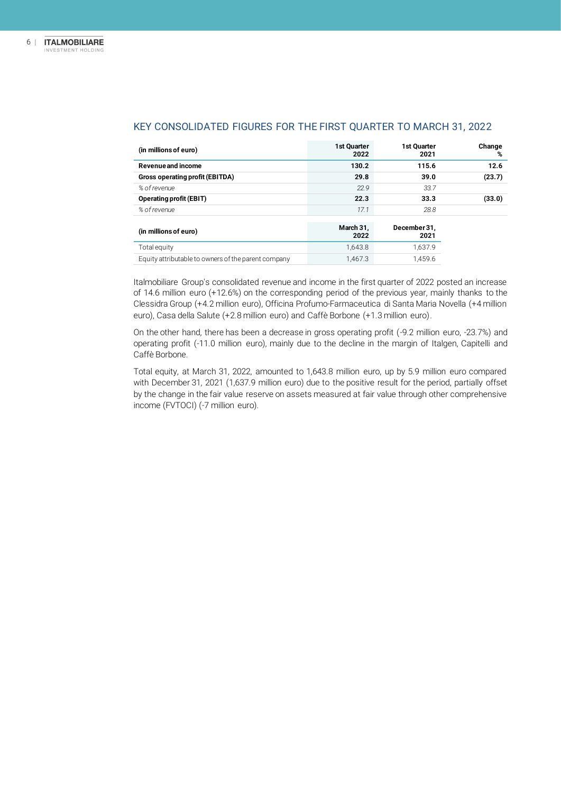| (in millions of euro)                               | <b>1st Ouarter</b><br>2022 | 1st Quarter<br>2021  | Change<br>% |
|-----------------------------------------------------|----------------------------|----------------------|-------------|
| Revenue and income                                  | 130.2                      | 115.6                | 12.6        |
| Gross operating profit (EBITDA)                     | 29.8                       | 39.0                 | (23.7)      |
| % of revenue                                        | 22.9                       | 33.7                 |             |
| <b>Operating profit (EBIT)</b>                      | 22.3                       | 33.3                 | (33.0)      |
| % of revenue                                        | 17.1                       | 28.8                 |             |
| (in millions of euro)                               | March 31,<br>2022          | December 31,<br>2021 |             |
| Total equity                                        | 1,643.8                    | 1.637.9              |             |
| Equity attributable to owners of the parent company | 1.467.3                    | 1.459.6              |             |

#### KEY CONSOLIDATED FIGURES FOR THE FIRST QUARTER TO MARCH 31, 2022

Italmobiliare Group's consolidated revenue and income in the first quarter of 2022 posted an increase of 14.6 million euro (+12.6%) on the corresponding period of the previous year, mainly thanks to the Clessidra Group (+4.2 million euro), Officina Profumo-Farmaceutica di Santa Maria Novella (+4 million euro), Casa della Salute (+2.8 million euro) and Caffè Borbone (+1.3 million euro).

On the other hand, there has been a decrease in gross operating profit (-9.2 million euro, -23.7%) and operating profit (-11.0 million euro), mainly due to the decline in the margin of Italgen, Capitelli and Caffè Borbone.

Total equity, at March 31, 2022, amounted to 1,643.8 million euro, up by 5.9 million euro compared with December 31, 2021 (1,637.9 million euro) due to the positive result for the period, partially offset by the change in the fair value reserve on assets measured at fair value through other comprehensive income (FVTOCI) (-7 million euro).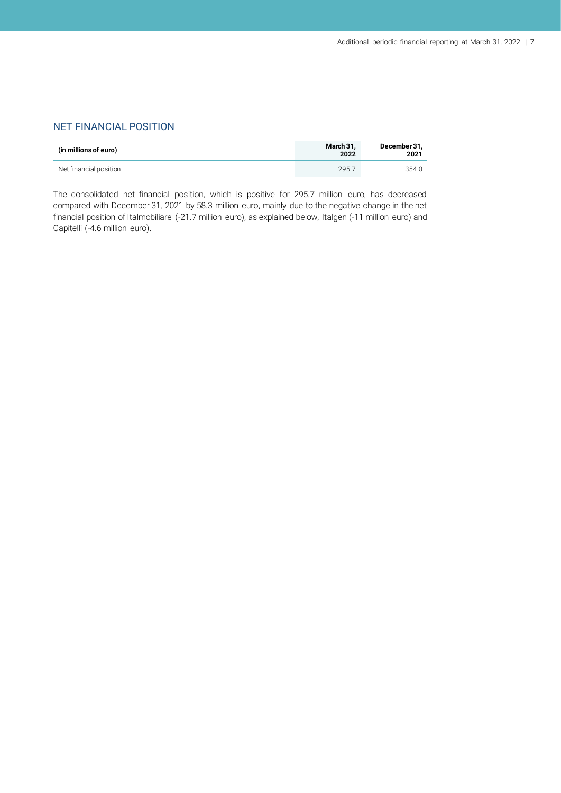#### NET FINANCIAL POSITION

| (in millions of euro)  | March 31.<br>2022 | December 31,<br>2021 |
|------------------------|-------------------|----------------------|
| Net financial position | 295.7             | 354.0                |

The consolidated net financial position, which is positive for 295.7 million euro, has decreased compared with December 31, 2021 by 58.3 million euro, mainly due to the negative change in the net financial position of Italmobiliare (-21.7 million euro), as explained below, Italgen (-11 million euro) and Capitelli (-4.6 million euro).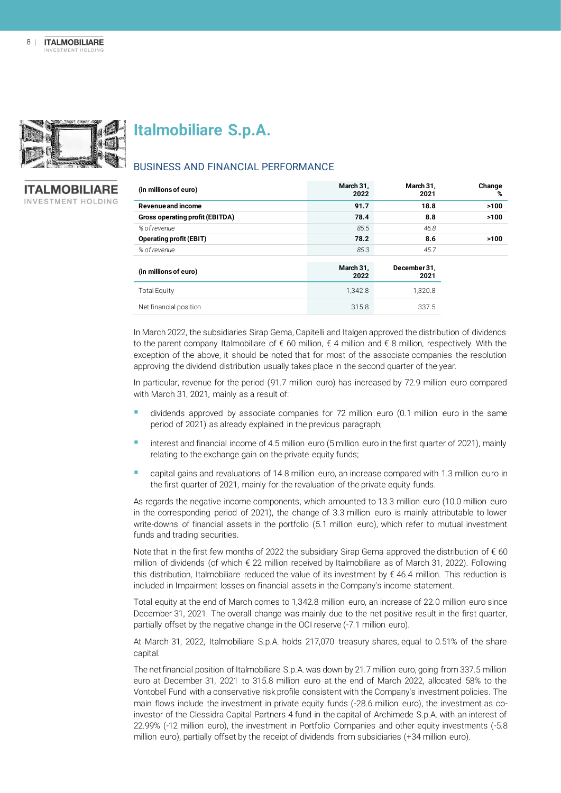

**Italmobiliare S.p.A.**

BUSINESS AND FINANCIAL PERFORMANCE

#### **ITALMOBILIARE** INVESTMENT HOLDING

| (in millions of euro)           | March 31,<br>2022 | March 31,<br>2021    | Change<br>% |
|---------------------------------|-------------------|----------------------|-------------|
| Revenue and income              | 91.7              | 18.8                 | >100        |
| Gross operating profit (EBITDA) | 78.4              | 8.8                  | >100        |
| % of revenue                    | 85.5              | 46.8                 |             |
| <b>Operating profit (EBIT)</b>  | 78.2              | 8.6                  | >100        |
| % of revenue                    | 85.3              | 45.7                 |             |
| (in millions of euro)           | March 31,<br>2022 | December 31,<br>2021 |             |
| <b>Total Equity</b>             | 1,342.8           | 1,320.8              |             |
| Net financial position          | 315.8             | 337.5                |             |

In March 2022, the subsidiaries Sirap Gema, Capitelli and Italgen approved the distribution of dividends to the parent company Italmobiliare of € 60 million, € 4 million and € 8 million, respectively. With the exception of the above, it should be noted that for most of the associate companies the resolution approving the dividend distribution usually takes place in the second quarter of the year.

In particular, revenue for the period (91.7 million euro) has increased by 72.9 million euro compared with March 31, 2021, mainly as a result of:

- dividends approved by associate companies for 72 million euro (0.1 million euro in the same period of 2021) as already explained in the previous paragraph;
- interest and financial income of 4.5 million euro (5 million euro in the first quarter of 2021), mainly relating to the exchange gain on the private equity funds;
- capital gains and revaluations of 14.8 million euro, an increase compared with 1.3 million euro in the first quarter of 2021, mainly for the revaluation of the private equity funds.

As regards the negative income components, which amounted to 13.3 million euro (10.0 million euro in the corresponding period of 2021), the change of 3.3 million euro is mainly attributable to lower write-downs of financial assets in the portfolio (5.1 million euro), which refer to mutual investment funds and trading securities.

Note that in the first few months of 2022 the subsidiary Sirap Gema approved the distribution of  $\epsilon$  60 million of dividends (of which € 22 million received by Italmobiliare as of March 31, 2022). Following this distribution, Italmobiliare reduced the value of its investment by  $\epsilon$  46.4 million. This reduction is included in Impairment losses on financial assets in the Company's income statement.

Total equity at the end of March comes to 1,342.8 million euro, an increase of 22.0 million euro since December 31, 2021. The overall change was mainly due to the net positive result in the first quarter, partially offset by the negative change in the OCI reserve (-7.1 million euro).

At March 31, 2022, Italmobiliare S.p.A. holds 217,070 treasury shares, equal to 0.51% of the share capital.

The net financial position of Italmobiliare S.p.A. was down by 21.7 million euro, going from 337.5 million euro at December 31, 2021 to 315.8 million euro at the end of March 2022, allocated 58% to the Vontobel Fund with a conservative risk profile consistent with the Company's investment policies. The main flows include the investment in private equity funds (-28.6 million euro), the investment as coinvestor of the Clessidra Capital Partners 4 fund in the capital of Archimede S.p.A. with an interest of 22.99% (-12 million euro), the investment in Portfolio Companies and other equity investments (-5.8 million euro), partially offset by the receipt of dividends from subsidiaries (+34 million euro).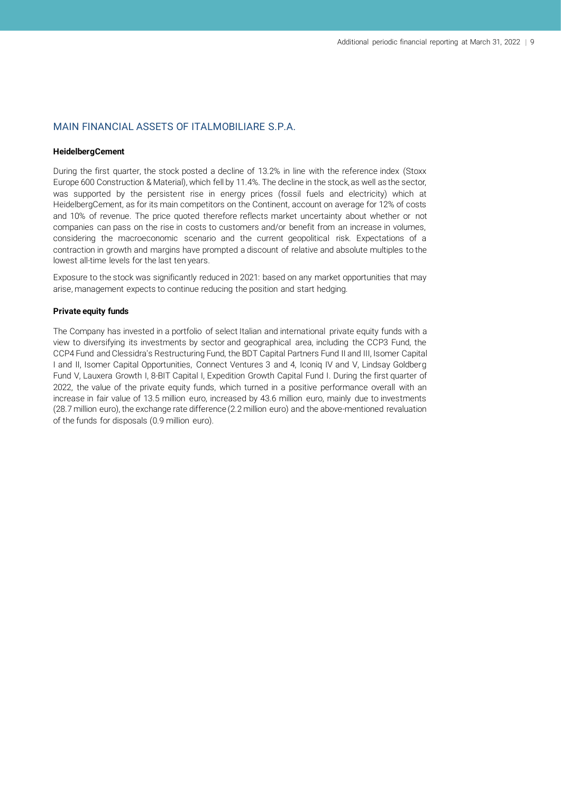#### MAIN FINANCIAL ASSETS OF ITALMOBILIARE S.P.A.

#### **HeidelbergCement**

During the first quarter, the stock posted a decline of 13.2% in line with the reference index (Stoxx Europe 600 Construction & Material), which fell by 11.4%. The decline in the stock, as well as the sector, was supported by the persistent rise in energy prices (fossil fuels and electricity) which at HeidelbergCement, as for its main competitors on the Continent, account on average for 12% of costs and 10% of revenue. The price quoted therefore reflects market uncertainty about whether or not companies can pass on the rise in costs to customers and/or benefit from an increase in volumes, considering the macroeconomic scenario and the current geopolitical risk. Expectations of a contraction in growth and margins have prompted a discount of relative and absolute multiples to the lowest all-time levels for the last ten years.

Exposure to the stock was significantly reduced in 2021: based on any market opportunities that may arise, management expects to continue reducing the position and start hedging.

#### **Private equity funds**

The Company has invested in a portfolio of select Italian and international private equity funds with a view to diversifying its investments by sector and geographical area, including the CCP3 Fund, the CCP4 Fund and Clessidra's Restructuring Fund, the BDT Capital Partners Fund II and III, Isomer Capital I and II, Isomer Capital Opportunities, Connect Ventures 3 and 4, Iconiq IV and V, Lindsay Goldberg Fund V, Lauxera Growth I, 8-BIT Capital I, Expedition Growth Capital Fund I. During the first quarter of 2022, the value of the private equity funds, which turned in a positive performance overall with an increase in fair value of 13.5 million euro, increased by 43.6 million euro, mainly due to investments (28.7 million euro), the exchange rate difference (2.2 million euro) and the above-mentioned revaluation of the funds for disposals (0.9 million euro).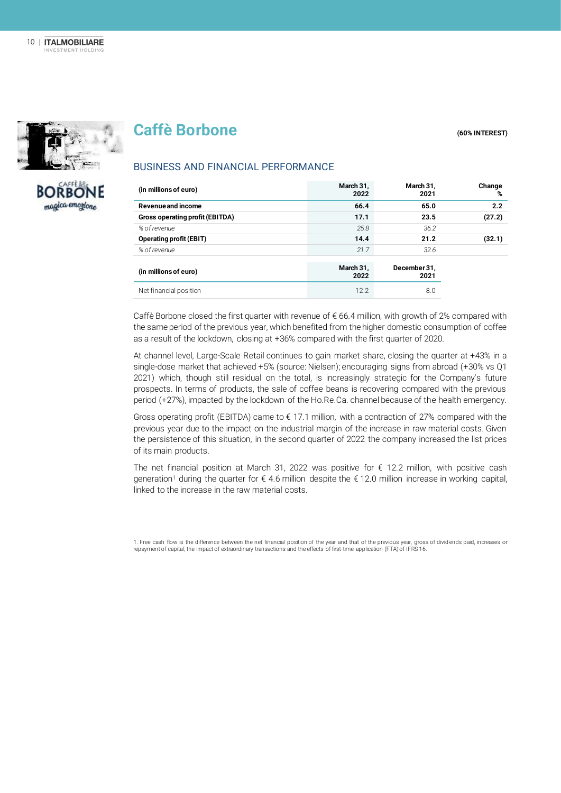

**BORBONE** magica emogione

## **Caffè Borbone (60% INTEREST)**

### BUSINESS AND FINANCIAL PERFORMANCE

| (in millions of euro)           | March 31,<br>2022 | March 31,<br>2021    | Change<br>% |
|---------------------------------|-------------------|----------------------|-------------|
| Revenue and income              | 66.4              | 65.0                 | 2.2         |
| Gross operating profit (EBITDA) | 17.1              | 23.5                 | (27.2)      |
| % of revenue                    | 25.8              | 36.2                 |             |
| <b>Operating profit (EBIT)</b>  | 14.4              | 21.2                 | (32.1)      |
| % of revenue                    | 21.7              | 32.6                 |             |
| (in millions of euro)           | March 31,<br>2022 | December 31,<br>2021 |             |
| Net financial position          | 12.2              | 8.0                  |             |

Caffè Borbone closed the first quarter with revenue of  $\epsilon$  66.4 million, with growth of 2% compared with the same period of the previous year, which benefited from the higher domestic consumption of coffee as a result of the lockdown, closing at +36% compared with the first quarter of 2020.

At channel level, Large-Scale Retail continues to gain market share, closing the quarter at +43% in a single-dose market that achieved +5% (source: Nielsen); encouraging signs from abroad (+30% vs Q1 2021) which, though still residual on the total, is increasingly strategic for the Company's future prospects. In terms of products, the sale of coffee beans is recovering compared with the previous period (+27%), impacted by the lockdown of the Ho.Re.Ca. channel because of the health emergency.

Gross operating profit (EBITDA) came to  $\epsilon$  17.1 million, with a contraction of 27% compared with the previous year due to the impact on the industrial margin of the increase in raw material costs. Given the persistence of this situation, in the second quarter of 2022 the company increased the list prices of its main products.

The net financial position at March 31, 2022 was positive for  $\epsilon$  12.2 million, with positive cash generation<sup>1</sup> during the quarter for  $\epsilon$  4.6 million despite the  $\epsilon$  12.0 million increase in working capital, linked to the increase in the raw material costs.

1. Free cash flow is the difference between the net financial position of the year and that of the previous year, gross of divid ends paid, increases or repayment of capital, the impact of extraordinary transactions and the effects of first-time application (FTA) of IFRS 16.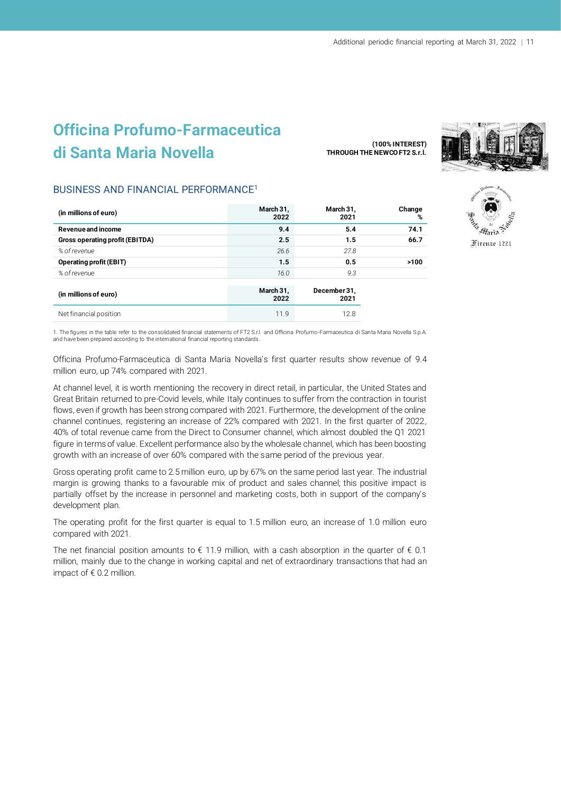## **Officina Profumo-Farmaceutica di Santa Maria Novella**

**(100% INTEREST) THROUGH THE NEWCO FT2 S.r.l.**



Firenze 1221

#### BUSINESS AND FINANCIAL PERFORMANCE<sup>1</sup>

| (in millions of euro)           | March 31,<br>2022 | March 31,<br>2021    | Change<br>% |
|---------------------------------|-------------------|----------------------|-------------|
| Revenue and income              | 9.4               | 5.4                  | 74.1        |
| Gross operating profit (EBITDA) | 2.5               | 1.5                  | 66.7        |
| % of revenue                    | 26.6              | 27.8                 |             |
| <b>Operating profit (EBIT)</b>  | 1.5               | 0.5                  | >100        |
| % of revenue                    | 16.0              | 9.3                  |             |
| (in millions of euro)           | March 31,<br>2022 | December 31,<br>2021 |             |
| Net financial position          | 11.9              | 12.8                 |             |

1. The figures in the table refer to the consolidated financial statements of FT2 S.r.l. and Officina Profumo-Farmaceutica di Santa Maria Novella S.p.A. and have been prepared according to the international financial reporting standards.

Officina Profumo-Farmaceutica di Santa Maria Novella's first quarter results show revenue of 9.4 million euro, up 74% compared with 2021.

At channel level, it is worth mentioning the recovery in direct retail, in particular, the United States and Great Britain returned to pre-Covid levels, while Italy continues to suffer from the contraction in tourist flows, even if growth has been strong compared with 2021. Furthermore, the development of the online channel continues, registering an increase of 22% compared with 2021. In the first quarter of 2022, 40% of total revenue came from the Direct to Consumer channel, which almost doubled the Q1 2021 figure in terms of value. Excellent performance also by the wholesale channel, which has been boosting growth with an increase of over 60% compared with the same period of the previous year.

Gross operating profit came to 2.5 million euro, up by 67% on the same period last year. The industrial margin is growing thanks to a favourable mix of product and sales channel; this positive impact is partially offset by the increase in personnel and marketing costs, both in support of the company's development plan.

The operating profit for the first quarter is equal to 1.5 million euro, an increase of 1.0 million euro compared with 2021.

The net financial position amounts to  $\epsilon$  11.9 million, with a cash absorption in the quarter of  $\epsilon$  0.1 million, mainly due to the change in working capital and net of extraordinary transactions that had an impact of  $\epsilon$  0.2 million.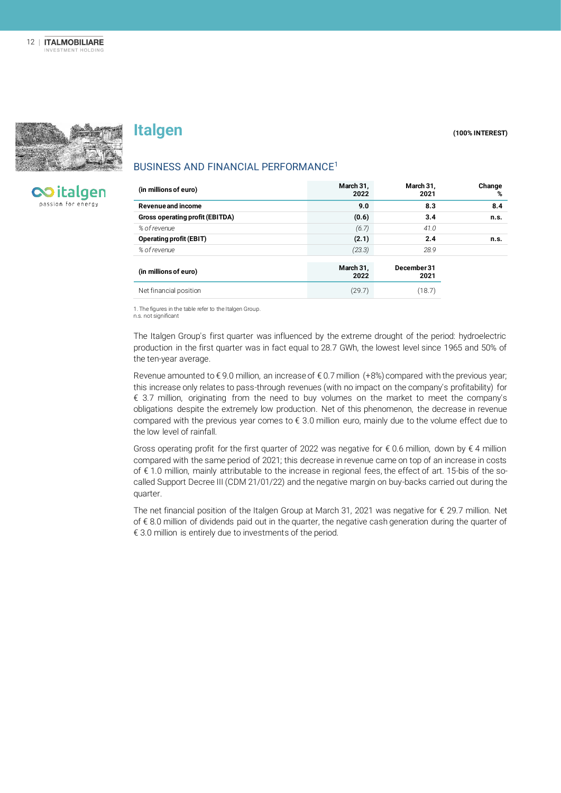

## **Italgen** (100% INTEREST)

**CO** italgen passion for energy

| BUSINESS AND FINANCIAL PERFORMANCE <sup>1</sup> |  |  |  |
|-------------------------------------------------|--|--|--|
|-------------------------------------------------|--|--|--|

| (in millions of euro)           | March 31,<br>2022 | March 31,<br>2021   | Change<br>% |
|---------------------------------|-------------------|---------------------|-------------|
| Revenue and income              | 9.0               | 8.3                 | 8.4         |
| Gross operating profit (EBITDA) | (0.6)             | 3.4                 | n.s.        |
| % of revenue                    | (6.7)             | 41.0                |             |
| <b>Operating profit (EBIT)</b>  | (2.1)             | 2.4                 | n.s.        |
| % of revenue                    | (23.3)            | 28.9                |             |
| (in millions of euro)           | March 31,<br>2022 | December 31<br>2021 |             |
| Net financial position          | (29.7)            | (18.7)              |             |

1. The figures in the table refer to the Italgen Group.

n.s. not significant

The Italgen Group's first quarter was influenced by the extreme drought of the period: hydroelectric production in the first quarter was in fact equal to 28.7 GWh, the lowest level since 1965 and 50% of the ten-year average.

Revenue amounted to € 9.0 million, an increase of € 0.7 million (+8%) compared with the previous year; this increase only relates to pass-through revenues (with no impact on the company's profitability) for € 3.7 million, originating from the need to buy volumes on the market to meet the company's obligations despite the extremely low production. Net of this phenomenon, the decrease in revenue compared with the previous year comes to € 3.0 million euro, mainly due to the volume effect due to the low level of rainfall.

Gross operating profit for the first quarter of 2022 was negative for  $\epsilon$  0.6 million, down by  $\epsilon$  4 million compared with the same period of 2021; this decrease in revenue came on top of an increase in costs of € 1.0 million, mainly attributable to the increase in regional fees, the effect of art. 15-bis of the socalled Support Decree III (CDM 21/01/22) and the negative margin on buy-backs carried out during the quarter.

The net financial position of the Italgen Group at March 31, 2021 was negative for € 29.7 million. Net of € 8.0 million of dividends paid out in the quarter, the negative cash generation during the quarter of € 3.0 million is entirely due to investments of the period.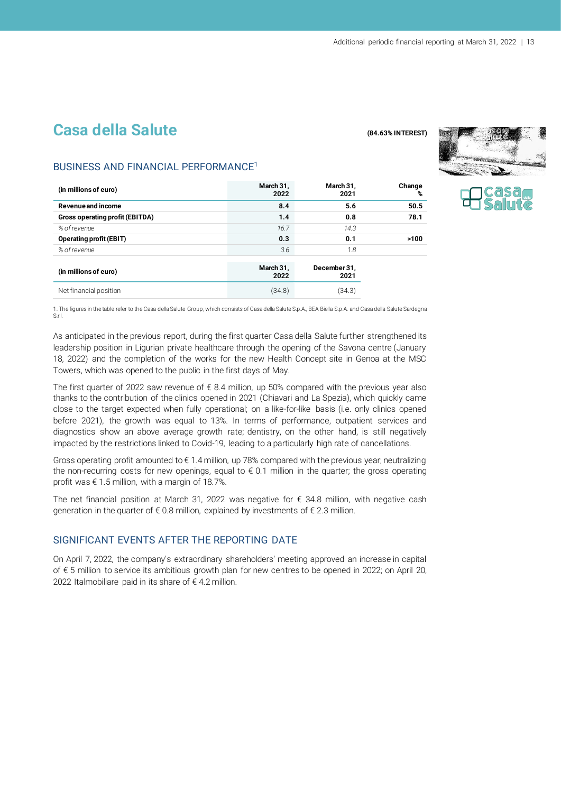## **Casa della Salute (84.63% INTEREST)**



#### BUSINESS AND FINANCIAL PERFORMANCE<sup>1</sup>

| (in millions of euro)           | March 31,<br>2022 | March 31,<br>2021    | Change<br>% |
|---------------------------------|-------------------|----------------------|-------------|
| Revenue and income              | 8.4               | 5.6                  | 50.5        |
| Gross operating profit (EBITDA) | 1.4               | 0.8                  | 78.1        |
| % of revenue                    | 16.7              | 14.3                 |             |
| <b>Operating profit (EBIT)</b>  | 0.3               | 0.1                  | >100        |
| % of revenue                    | 3.6               | 7.8                  |             |
| (in millions of euro)           | March 31,<br>2022 | December 31,<br>2021 |             |
| Net financial position          | (34.8)            | (34.3)               |             |

1. The figures in the table refer to the Casa della Salute Group, which consists of Casa della Salute S.p.A., BEA Biella S.p.A. and Casa della Salute Sardegna S.r.l.

As anticipated in the previous report, during the first quarter Casa della Salute further strengthened its leadership position in Ligurian private healthcare through the opening of the Savona centre (January 18, 2022) and the completion of the works for the new Health Concept site in Genoa at the MSC Towers, which was opened to the public in the first days of May.

The first quarter of 2022 saw revenue of  $\epsilon$  8.4 million, up 50% compared with the previous year also thanks to the contribution of the clinics opened in 2021 (Chiavari and La Spezia), which quickly came close to the target expected when fully operational; on a like-for-like basis (i.e. only clinics opened before 2021), the growth was equal to 13%. In terms of performance, outpatient services and diagnostics show an above average growth rate; dentistry, on the other hand, is still negatively impacted by the restrictions linked to Covid-19, leading to a particularly high rate of cancellations.

Gross operating profit amounted to  $\epsilon$  1.4 million, up 78% compared with the previous year; neutralizing the non-recurring costs for new openings, equal to  $\epsilon$  0.1 million in the quarter; the gross operating profit was € 1.5 million, with a margin of 18.7%.

The net financial position at March 31, 2022 was negative for  $\epsilon$  34.8 million, with negative cash generation in the quarter of  $\epsilon$  0.8 million, explained by investments of  $\epsilon$  2.3 million.

#### SIGNIFICANT EVENTS AFTER THE REPORTING DATE

On April 7, 2022, the company's extraordinary shareholders' meeting approved an increase in capital of € 5 million to service its ambitious growth plan for new centres to be opened in 2022; on April 20, 2022 Italmobiliare paid in its share of € 4.2 million.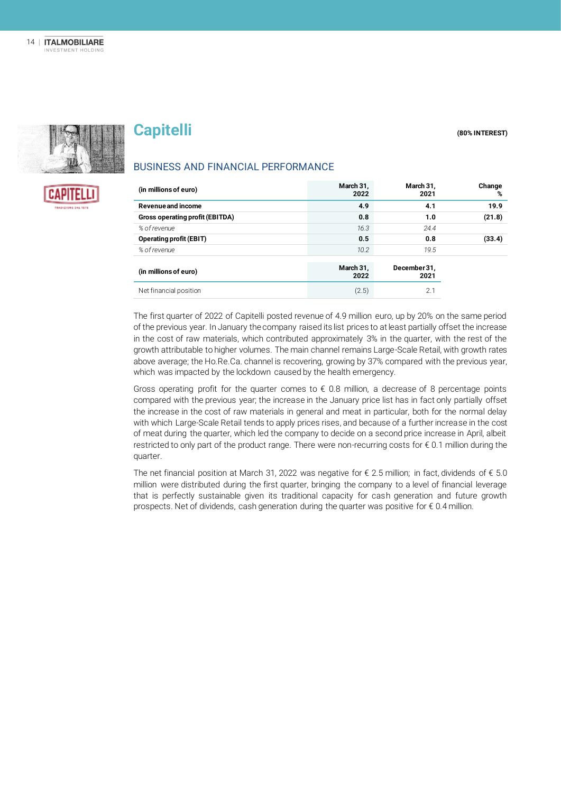

**CAPITELLI** 

## **Capitelli Capitelli Capitelli Capitelli CAPITEREST**

#### BUSINESS AND FINANCIAL PERFORMANCE

| (in millions of euro)           | March 31,<br>2022 | March 31,<br>2021    | Change<br>% |
|---------------------------------|-------------------|----------------------|-------------|
| Revenue and income              | 4.9               | 4.1                  | 19.9        |
| Gross operating profit (EBITDA) | 0.8               | 1.0                  | (21.8)      |
| % of revenue                    | 16.3              | 24.4                 |             |
| <b>Operating profit (EBIT)</b>  | 0.5               | 0.8                  | (33.4)      |
| % of revenue                    | 10.2              | 19.5                 |             |
| (in millions of euro)           | March 31,<br>2022 | December 31,<br>2021 |             |
| Net financial position          | (2.5)             | 2.1                  |             |

The first quarter of 2022 of Capitelli posted revenue of 4.9 million euro, up by 20% on the same period of the previous year. In January the company raised its list prices to at least partially offset the increase in the cost of raw materials, which contributed approximately 3% in the quarter, with the rest of the growth attributable to higher volumes. The main channel remains Large-Scale Retail, with growth rates above average; the Ho.Re.Ca. channel is recovering, growing by 37% compared with the previous year, which was impacted by the lockdown caused by the health emergency.

Gross operating profit for the quarter comes to  $\epsilon$  0.8 million, a decrease of 8 percentage points compared with the previous year; the increase in the January price list has in fact only partially offset the increase in the cost of raw materials in general and meat in particular, both for the normal delay with which Large-Scale Retail tends to apply prices rises, and because of a further increase in the cost of meat during the quarter, which led the company to decide on a second price increase in April, albeit restricted to only part of the product range. There were non-recurring costs for € 0.1 million during the quarter.

The net financial position at March 31, 2022 was negative for  $\epsilon$  2.5 million; in fact, dividends of  $\epsilon$  5.0 million were distributed during the first quarter, bringing the company to a level of financial leverage that is perfectly sustainable given its traditional capacity for cash generation and future growth prospects. Net of dividends, cash generation during the quarter was positive for  $\epsilon$  0.4 million.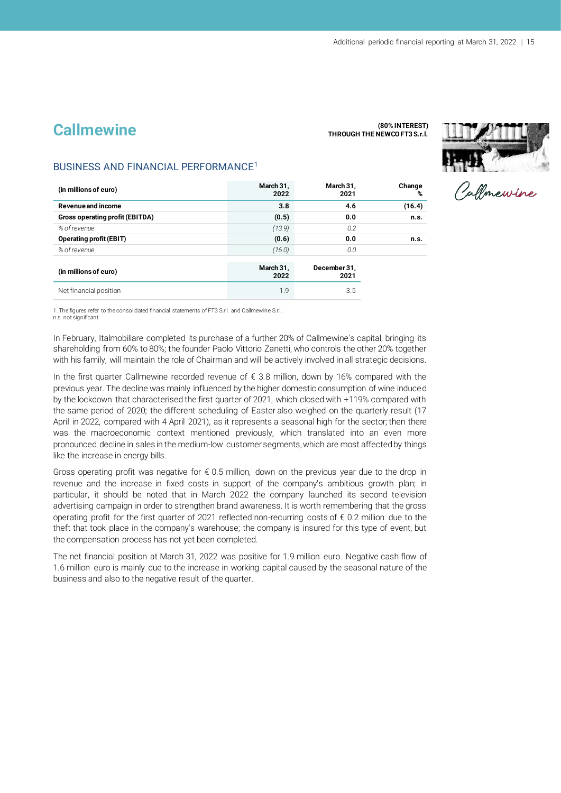## **Callmewine**

#### **(80% INTEREST)**





#### BUSINESS AND FINANCIAL PERFORMANCE<sup>1</sup>

| (in millions of euro)           | March 31,<br>2022 | March 31,<br>2021    | Change<br>% |
|---------------------------------|-------------------|----------------------|-------------|
| Revenue and income              | 3.8               | 4.6                  | (16.4)      |
| Gross operating profit (EBITDA) | (0.5)             | 0.0                  | n.s.        |
| % of revenue                    | (13.9)            | 0.2                  |             |
| <b>Operating profit (EBIT)</b>  | (0.6)             | 0.0                  | n.s.        |
| % of revenue                    | (16.0)            | 0.0                  |             |
| (in millions of euro)           | March 31,<br>2022 | December 31,<br>2021 |             |
| Net financial position          | 1.9               | 3.5                  |             |

1. The figures refer to the consolidated financial statements of FT3 S.r.l. and Callmewine S.r.l.

n.s. not significant

In February, Italmobiliare completed its purchase of a further 20% of Callmewine's capital, bringing its shareholding from 60% to 80%; the founder Paolo Vittorio Zanetti, who controls the other 20% together with his family, will maintain the role of Chairman and will be actively involved in all strategic decisions.

In the first quarter Callmewine recorded revenue of  $\epsilon$  3.8 million, down by 16% compared with the previous year. The decline was mainly influenced by the higher domestic consumption of wine induced by the lockdown that characterised the first quarter of 2021, which closed with +119% compared with the same period of 2020; the different scheduling of Easter also weighed on the quarterly result (17 April in 2022, compared with 4 April 2021), as it represents a seasonal high for the sector; then there was the macroeconomic context mentioned previously, which translated into an even more pronounced decline in sales in the medium-low customer segments, which are most affected by things like the increase in energy bills.

Gross operating profit was negative for  $\epsilon$  0.5 million, down on the previous year due to the drop in revenue and the increase in fixed costs in support of the company's ambitious growth plan; in particular, it should be noted that in March 2022 the company launched its second television advertising campaign in order to strengthen brand awareness. It is worth remembering that the gross operating profit for the first quarter of 2021 reflected non-recurring costs of  $\epsilon$  0.2 million due to the theft that took place in the company's warehouse; the company is insured for this type of event, but the compensation process has not yet been completed.

The net financial position at March 31, 2022 was positive for 1.9 million euro. Negative cash flow of 1.6 million euro is mainly due to the increase in working capital caused by the seasonal nature of the business and also to the negative result of the quarter.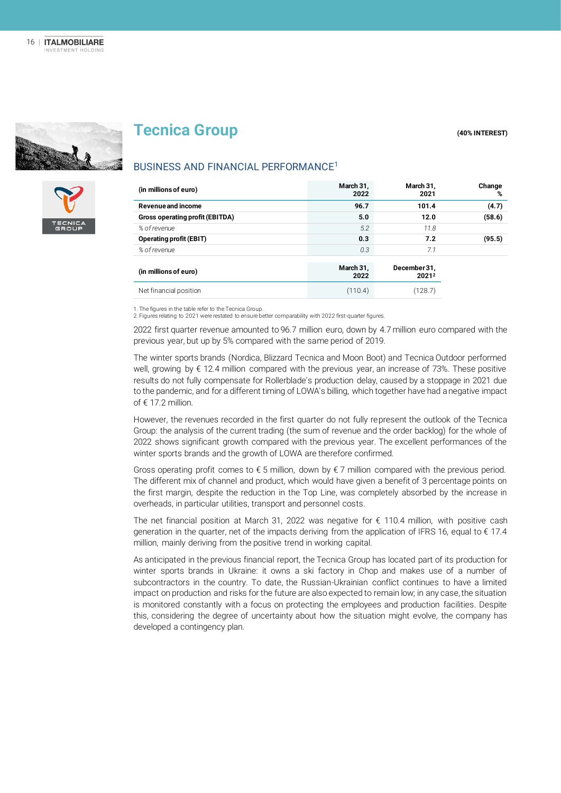



BUSINESS AND FINANCIAL PERFORMANCE<sup>1</sup>

#### **(in millions of euro) March 31, 2022 March 31, 2021 Change Revenue and income 96.7 101.4 (4.7) Gross operating profit (EBITDA) 5.0 12.0 (58.6)** *% of revenue 5.2 11.8* **Operating profit (EBIT) 0.3 7.2 (95.5)** *% of revenue 0.3 7.1* **(in millions of euro) March 31, 2022 December 31, 2021<sup>2</sup>** Net financial position (128.7) (128.7)

1. The figures in the table refer to the Tecnica Group. 2. Figures relating to 2021 were restated to ensure better comparability with 2022 first-quarter figures.

2022 first quarter revenue amounted to 96.7 million euro, down by 4.7 million euro compared with the previous year, but up by 5% compared with the same period of 2019.

The winter sports brands (Nordica, Blizzard Tecnica and Moon Boot) and Tecnica Outdoor performed well, growing by € 12.4 million compared with the previous year, an increase of 73%. These positive results do not fully compensate for Rollerblade's production delay, caused by a stoppage in 2021 due to the pandemic, and for a different timing of LOWA's billing, which together have had a negative impact of € 17.2 million.

However, the revenues recorded in the first quarter do not fully represent the outlook of the Tecnica Group: the analysis of the current trading (the sum of revenue and the order backlog) for the whole of 2022 shows significant growth compared with the previous year. The excellent performances of the winter sports brands and the growth of LOWA are therefore confirmed.

Gross operating profit comes to  $\epsilon$  5 million, down by  $\epsilon$  7 million compared with the previous period. The different mix of channel and product, which would have given a benefit of 3 percentage points on the first margin, despite the reduction in the Top Line, was completely absorbed by the increase in overheads, in particular utilities, transport and personnel costs.

The net financial position at March 31, 2022 was negative for € 110.4 million, with positive cash generation in the quarter, net of the impacts deriving from the application of IFRS 16, equal to  $\epsilon$  17.4 million, mainly deriving from the positive trend in working capital.

As anticipated in the previous financial report, the Tecnica Group has located part of its production for winter sports brands in Ukraine: it owns a ski factory in Chop and makes use of a number of subcontractors in the country. To date, the Russian-Ukrainian conflict continues to have a limited impact on production and risks for the future are also expected to remain low; in any case, the situation is monitored constantly with a focus on protecting the employees and production facilities. Despite this, considering the degree of uncertainty about how the situation might evolve, the company has developed a contingency plan.

**Tecnica Group** *(40%)* **<b>INTEREST)** 

**%**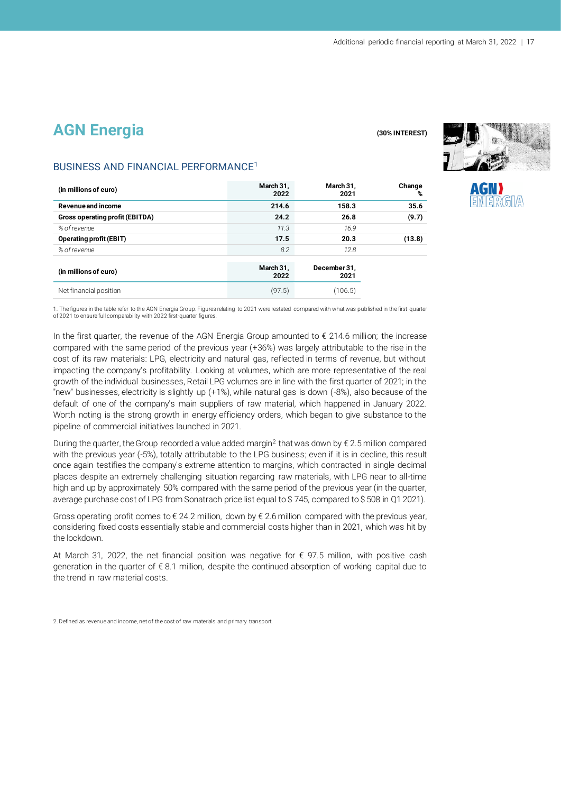## **AGN Energia** (30% INTEREST)



#### BUSINESS AND FINANCIAL PERFORMANCE<sup>1</sup>

| (in millions of euro)           | March 31,<br>2022 | March 31,<br>2021    | Change<br>% |
|---------------------------------|-------------------|----------------------|-------------|
| Revenue and income              | 214.6             | 158.3                | 35.6        |
| Gross operating profit (EBITDA) | 24.2              | 26.8                 | (9.7)       |
| % of revenue                    | 11.3              | 16.9                 |             |
| <b>Operating profit (EBIT)</b>  | 17.5              | 20.3                 | (13.8)      |
| % of revenue                    | 8.2               | 12.8                 |             |
| (in millions of euro)           | March 31,<br>2022 | December 31,<br>2021 |             |
| Net financial position          | (97.5)            | (106.5)              |             |

1. The figures in the table refer to the AGN Energia Group. Figures relating to 2021 were restated compared with what was published in the first quarter of 2021 to ensure full comparability with 2022 first-quarter figures.

In the first quarter, the revenue of the AGN Energia Group amounted to € 214.6 million; the increase compared with the same period of the previous year (+36%) was largely attributable to the rise in the cost of its raw materials: LPG, electricity and natural gas, reflected in terms of revenue, but without impacting the company's profitability. Looking at volumes, which are more representative of the real growth of the individual businesses, Retail LPG volumes are in line with the first quarter of 2021; in the "new" businesses, electricity is slightly up (+1%), while natural gas is down (-8%), also because of the default of one of the company's main suppliers of raw material, which happened in January 2022. Worth noting is the strong growth in energy efficiency orders, which began to give substance to the pipeline of commercial initiatives launched in 2021.

During the quarter, the Group recorded a value added margin<sup>2</sup> that was down by € 2.5 million compared with the previous year (-5%), totally attributable to the LPG business; even if it is in decline, this result once again testifies the company's extreme attention to margins, which contracted in single decimal places despite an extremely challenging situation regarding raw materials, with LPG near to all-time high and up by approximately 50% compared with the same period of the previous year (in the quarter, average purchase cost of LPG from Sonatrach price list equal to \$ 745, compared to \$ 508 in Q1 2021).

Gross operating profit comes to  $\epsilon$  24.2 million, down by  $\epsilon$  2.6 million compared with the previous year, considering fixed costs essentially stable and commercial costs higher than in 2021, which was hit by the lockdown.

At March 31, 2022, the net financial position was negative for  $\epsilon$  97.5 million, with positive cash generation in the quarter of € 8.1 million, despite the continued absorption of working capital due to the trend in raw material costs.

<sup>2.</sup> Defined as revenue and income, net of the cost of raw materials and primary transport.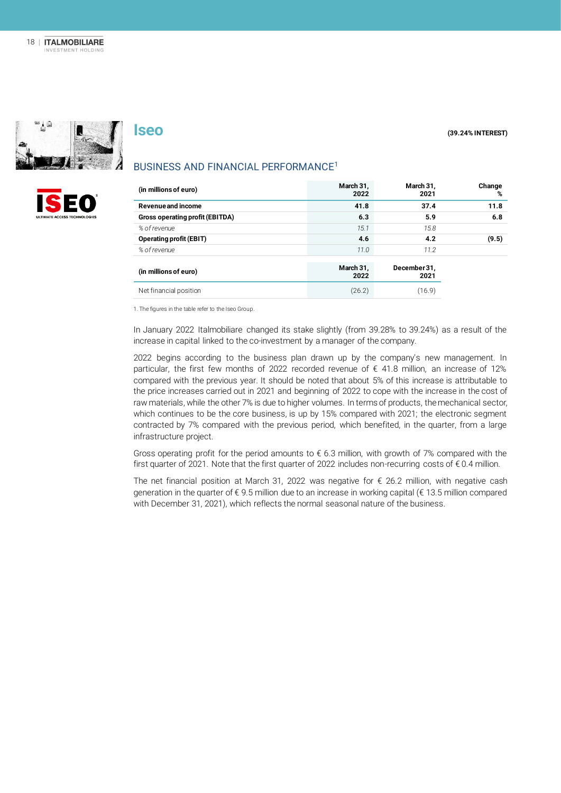



#### BUSINESS AND FINANCIAL PERFORMANCE<sup>1</sup>

| (in millions of euro)           | March 31,<br>2022 | March 31,<br>2021    | Change<br>% |
|---------------------------------|-------------------|----------------------|-------------|
| Revenue and income              | 41.8              | 37.4                 | 11.8        |
| Gross operating profit (EBITDA) | 6.3               | 5.9                  | 6.8         |
| % of revenue                    | 15.1              | 15.8                 |             |
| <b>Operating profit (EBIT)</b>  | 4.6               | 4.2                  | (9.5)       |
| % of revenue                    | 11.0              | 11.2                 |             |
| (in millions of euro)           | March 31,<br>2022 | December 31,<br>2021 |             |
| Net financial position          | (26.2)            | (16.9)               |             |

1. The figures in the table refer to the Iseo Group.

In January 2022 Italmobiliare changed its stake slightly (from 39.28% to 39.24%) as a result of the increase in capital linked to the co-investment by a manager of the company.

2022 begins according to the business plan drawn up by the company's new management. In particular, the first few months of 2022 recorded revenue of  $\epsilon$  41.8 million, an increase of 12% compared with the previous year. It should be noted that about 5% of this increase is attributable to the price increases carried out in 2021 and beginning of 2022 to cope with the increase in the cost of raw materials, while the other 7% is due to higher volumes. In terms of products, the mechanical sector, which continues to be the core business, is up by 15% compared with 2021; the electronic segment contracted by 7% compared with the previous period, which benefited, in the quarter, from a large infrastructure project.

Gross operating profit for the period amounts to  $\epsilon$  6.3 million, with growth of 7% compared with the first quarter of 2021. Note that the first quarter of 2022 includes non-recurring costs of € 0.4 million.

The net financial position at March 31, 2022 was negative for € 26.2 million, with negative cash generation in the quarter of € 9.5 million due to an increase in working capital (€ 13.5 million compared with December 31, 2021), which reflects the normal seasonal nature of the business.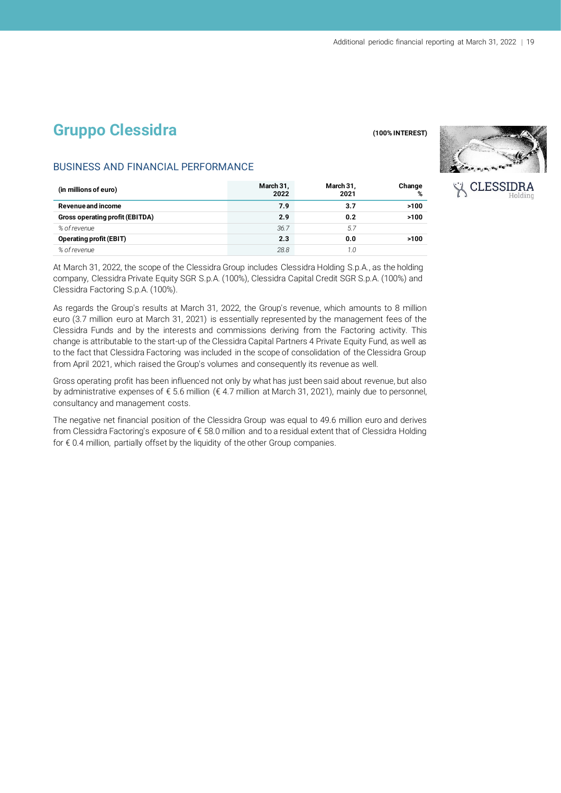## **Gruppo Clessidra CONSTRANDING CONSTRANDING (100% INTEREST)**



**CLESSIDR** 

#### BUSINESS AND FINANCIAL PERFORMANCE

| (in millions of euro)                  | March 31,<br>2022 | March 31,<br>2021 | Change<br>% |
|----------------------------------------|-------------------|-------------------|-------------|
| Revenue and income                     | 7.9               | 3.7               | >100        |
| <b>Gross operating profit (EBITDA)</b> | 2.9               | 0.2               | >100        |
| % of revenue                           | 36.7              | 5.7               |             |
| <b>Operating profit (EBIT)</b>         | 2.3               | 0.0               | >100        |
| % of revenue                           | 28.8              | 1.0               |             |

At March 31, 2022, the scope of the Clessidra Group includes Clessidra Holding S.p.A., as the holding company, Clessidra Private Equity SGR S.p.A. (100%), Clessidra Capital Credit SGR S.p.A. (100%) and Clessidra Factoring S.p.A. (100%).

As regards the Group's results at March 31, 2022, the Group's revenue, which amounts to 8 million euro (3.7 million euro at March 31, 2021) is essentially represented by the management fees of the Clessidra Funds and by the interests and commissions deriving from the Factoring activity. This change is attributable to the start-up of the Clessidra Capital Partners 4 Private Equity Fund, as well as to the fact that Clessidra Factoring was included in the scope of consolidation of the Clessidra Group from April 2021, which raised the Group's volumes and consequently its revenue as well.

Gross operating profit has been influenced not only by what has just been said about revenue, but also by administrative expenses of € 5.6 million (€ 4.7 million at March 31, 2021), mainly due to personnel, consultancy and management costs.

The negative net financial position of the Clessidra Group was equal to 49.6 million euro and derives from Clessidra Factoring's exposure of € 58.0 million and to a residual extent that of Clessidra Holding for € 0.4 million, partially offset by the liquidity of the other Group companies.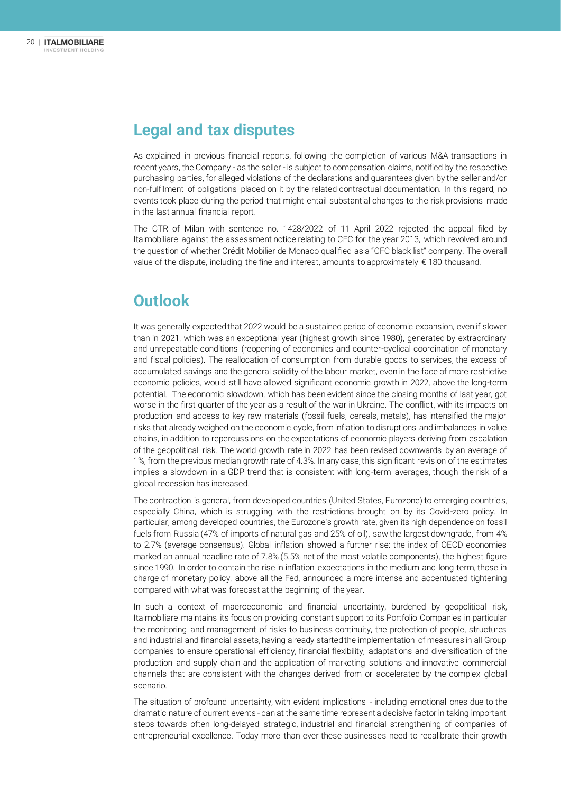## **Legal and tax disputes**

As explained in previous financial reports, following the completion of various M&A transactions in recent years, the Company - as the seller - is subject to compensation claims, notified by the respective purchasing parties, for alleged violations of the declarations and guarantees given by the seller and/or non-fulfilment of obligations placed on it by the related contractual documentation. In this regard, no events took place during the period that might entail substantial changes to the risk provisions made in the last annual financial report.

The CTR of Milan with sentence no. 1428/2022 of 11 April 2022 rejected the appeal filed by Italmobiliare against the assessment notice relating to CFC for the year 2013, which revolved around the question of whether Crédit Mobilier de Monaco qualified as a "CFC black list" company. The overall value of the dispute, including the fine and interest, amounts to approximately  $\epsilon$  180 thousand.

## **Outlook**

It was generally expected that 2022 would be a sustained period of economic expansion, even if slower than in 2021, which was an exceptional year (highest growth since 1980), generated by extraordinary and unrepeatable conditions (reopening of economies and counter-cyclical coordination of monetary and fiscal policies). The reallocation of consumption from durable goods to services, the excess of accumulated savings and the general solidity of the labour market, even in the face of more restrictive economic policies, would still have allowed significant economic growth in 2022, above the long-term potential. The economic slowdown, which has been evident since the closing months of last year, got worse in the first quarter of the year as a result of the war in Ukraine. The conflict, with its impacts on production and access to key raw materials (fossil fuels, cereals, metals), has intensified the major risks that already weighed on the economic cycle, from inflation to disruptions and imbalances in value chains, in addition to repercussions on the expectations of economic players deriving from escalation of the geopolitical risk. The world growth rate in 2022 has been revised downwards by an average of 1%, from the previous median growth rate of 4.3%. In any case, this significant revision of the estimates implies a slowdown in a GDP trend that is consistent with long-term averages, though the risk of a global recession has increased.

The contraction is general, from developed countries (United States, Eurozone) to emerging countries, especially China, which is struggling with the restrictions brought on by its Covid-zero policy. In particular, among developed countries, the Eurozone's growth rate, given its high dependence on fossil fuels from Russia (47% of imports of natural gas and 25% of oil), saw the largest downgrade, from 4% to 2.7% (average consensus). Global inflation showed a further rise: the index of OECD economies marked an annual headline rate of 7.8% (5.5% net of the most volatile components), the highest figure since 1990. In order to contain the rise in inflation expectations in the medium and long term, those in charge of monetary policy, above all the Fed, announced a more intense and accentuated tightening compared with what was forecast at the beginning of the year.

In such a context of macroeconomic and financial uncertainty, burdened by geopolitical risk, Italmobiliare maintains its focus on providing constant support to its Portfolio Companies in particular the monitoring and management of risks to business continuity, the protection of people, structures and industrial and financial assets, having already started the implementation of measures in all Group companies to ensure operational efficiency, financial flexibility, adaptations and diversification of the production and supply chain and the application of marketing solutions and innovative commercial channels that are consistent with the changes derived from or accelerated by the complex global scenario.

The situation of profound uncertainty, with evident implications - including emotional ones due to the dramatic nature of current events - can at the same time represent a decisive factor in taking important steps towards often long-delayed strategic, industrial and financial strengthening of companies of entrepreneurial excellence. Today more than ever these businesses need to recalibrate their growth